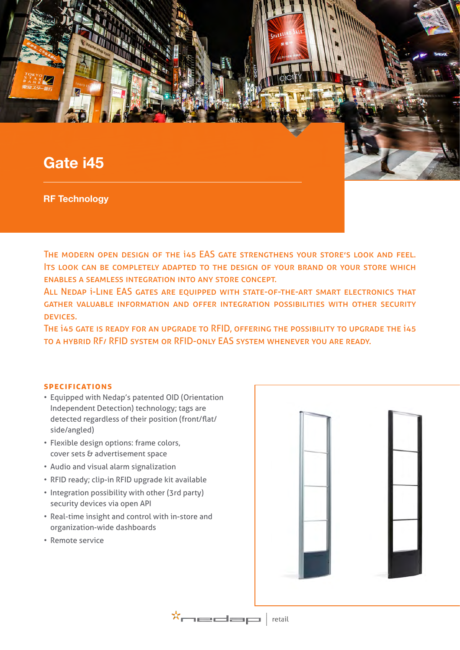# **Gate i45**

**RF Technology**

The modern open design of the i45 EAS gate strengthens your store's look and feel. ITS LOOK CAN BE COMPLETELY ADAPTED TO THE DESIGN OF YOUR BRAND OR YOUR STORE WHICH enables a seamless integration into any store concept.

ALL NEDAP *i-LINE EAS GATES ARE EQUIPPED WITH STATE-OF-THE-ART SMART ELECTRONICS THAT* gather valuable information and offer integration possibilities with other security devices.

The i45 gate is ready for an upgrade to RFID, offering the possibility to upgrade the i45 to a hybrid RF/ RFID system or RFID-only EAS system whenever you are ready.

#### **specifications**

- Equipped with Nedap's patented OID (Orientation Independent Detection) technology; tags are detected regardless of their position (front/flat/ side/angled)
- Flexible design options: frame colors, cover sets & advertisement space
- Audio and visual alarm signalization
- RFID ready; clip-in RFID upgrade kit available
- Integration possibility with other (3rd party) security devices via open API
- Real-time insight and control with in-store and organization-wide dashboards
- Remote service



 $\mathbf{x}_{\text{model}} \mid \mathbf{p}_{\text{train}}$